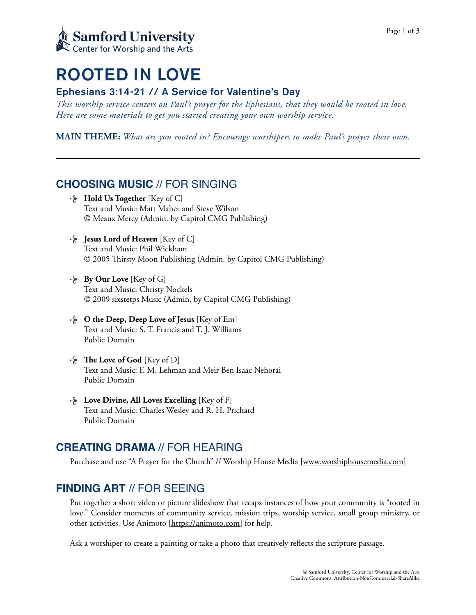

# ROOTED IN LOVE

## Ephesians 3:14-21 // A Service for Valentine's Day

*This worship service centers on Paul's prayer for the Ephesians, that they would be rooted in love. Here are some materials to get you started creating your own worship service.* 

**MAIN THEME:** *What are you rooted in? Encourage worshipers to make Paul's prayer their own.*

# **CHOOSING MUSIC** // FOR SINGING

- **Hold Us Together** [Key of C] Text and Music: Matt Maher and Steve Wilson © Meaux Mercy (Admin. by Capitol CMG Publishing)
- **Jesus Lord of Heaven** [Key of C] Text and Music: Phil Wickham © 2005 Tirsty Moon Publishing (Admin. by Capitol CMG Publishing)
- **By Our Love** [Key of G] Text and Music: Christy Nockels © 2009 sixstetps Music (Admin. by Capitol CMG Publishing)
- $\cdot$  **O** the Deep, Deep Love of Jesus [Key of Em] Text and Music: S. T. Francis and T. J. Williams Public Domain
- **Followia External Love of God** [Key of D] Text and Music: F. M. Lehman and Meir Ben Isaac Nehorai Public Domain
- **Love Divine, All Loves Excelling** [Key of F] Text and Music: Charles Wesley and R. H. Prichard Public Domain

# **CREATING DRAMA** // FOR HEARING

Purchase and use "A Prayer for the Church" // Worship House Media [[www.worshiphousemedia.com](http://www.worshiphousemedia.com)]

# **FINDING ART** // FOR SEEING

Put together a short video or picture slideshow that recaps instances of how your community is "rooted in love." Consider moments of community service, mission trips, worship service, small group ministry, or other activities. Use Animoto [\[https://animoto.com\]](https://animoto.com) for help.

Ask a worshiper to create a painting or take a photo that creatively reflects the scripture passage.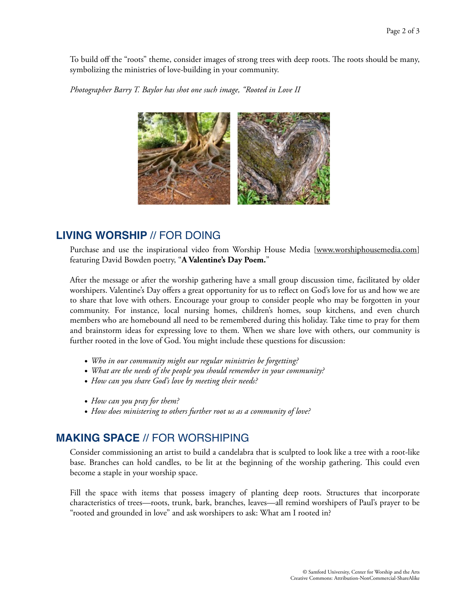To build off the "roots" theme, consider images of strong trees with deep roots. The roots should be many, symbolizing the ministries of love-building in your community.

*Photographer Barry T. Baylor has shot one such image, "Rooted in Love II*



# **LIVING WORSHIP** // FOR DOING

Purchase and use the inspirational video from Worship House Media [\[www.worshiphousemedia.com](http://worshiphousemedia.com)] featuring David Bowden poetry, "**A Valentine's Day Poem.**"

After the message or after the worship gathering have a small group discussion time, facilitated by older worshipers. Valentine's Day offers a great opportunity for us to reflect on God's love for us and how we are to share that love with others. Encourage your group to consider people who may be forgotten in your community. For instance, local nursing homes, children's homes, soup kitchens, and even church members who are homebound all need to be remembered during this holiday. Take time to pray for them and brainstorm ideas for expressing love to them. When we share love with others, our community is further rooted in the love of God. You might include these questions for discussion:

- *• Who in our community might our regular ministries be forgetting?*
- *• What are the needs of the people you should remember in your community?*
- *• How can you share God's love by meeting their needs?*
- *• How can you pray for them?*
- *• How does ministering to others further root us as a community of love?*

# **MAKING SPACE** // FOR WORSHIPING

Consider commissioning an artist to build a candelabra that is sculpted to look like a tree with a root-like base. Branches can hold candles, to be lit at the beginning of the worship gathering. Tis could even become a staple in your worship space.

Fill the space with items that possess imagery of planting deep roots. Structures that incorporate characteristics of trees—roots, trunk, bark, branches, leaves—all remind worshipers of Paul's prayer to be "rooted and grounded in love" and ask worshipers to ask: What am I rooted in?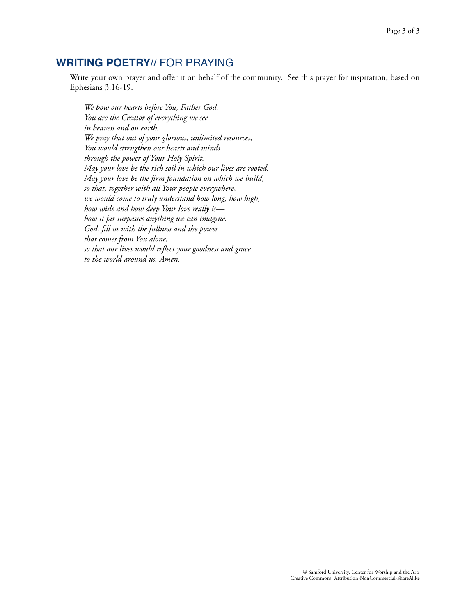# **WRITING POETRY**// FOR PRAYING

Write your own prayer and offer it on behalf of the community. See this prayer for inspiration, based on Ephesians 3:16-19:

*We bow our hearts before You, Father God. You are the Creator of everything we see in heaven and on earth. We pray that out of your glorious, unlimited resources, You would strengthen our hearts and minds through the power of Your Holy Spirit. May your love be the rich soil in which our lives are rooted. May your love be the firm foundation on which we build, so that, together with all Your people everywhere, we would come to truly understand how long, how high, how wide and how deep Your love really is how it far surpasses anything we can imagine. God, fill us with the fullness and the power that comes from You alone, so that our lives would reflect your goodness and grace to the world around us. Amen.*